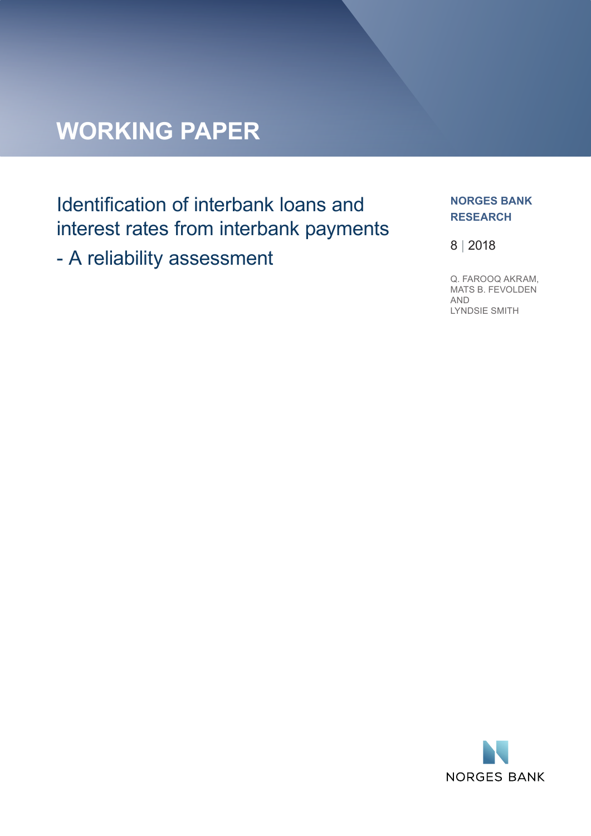# **WORKING PAPER**

# Identification of interbank loans and interest rates from interbank payments

- A reliability assessment

#### **NORGES BANK RESEARCH**

8 | 2018

Q. FAROOQ AKRAM, MATS B. FEVOLDEN AND LYNDSIE SMITH

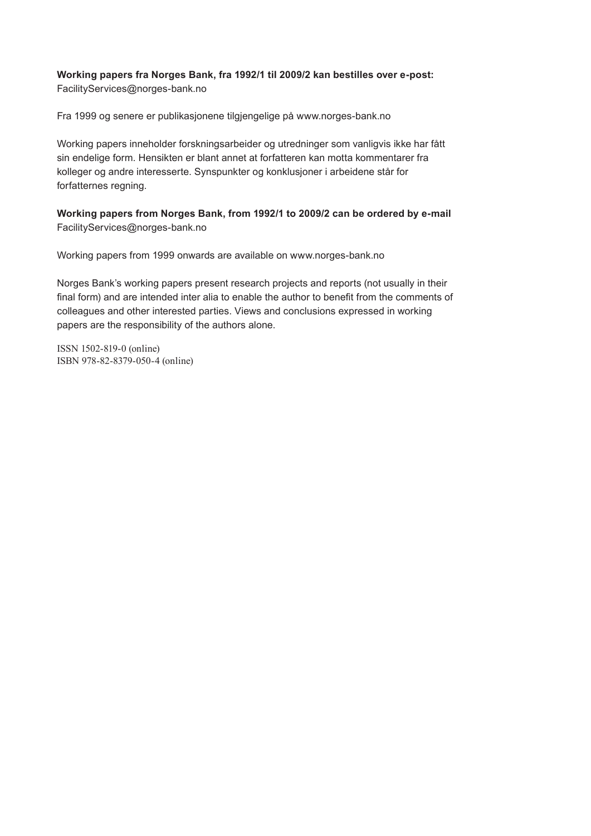#### **Working papers fra Norges Bank, fra 1992/1 til 2009/2 kan bestilles over e-post:** FacilityServices@norges-bank.no

Fra 1999 og senere er publikasjonene tilgjengelige på www.norges-bank.no

Working papers inneholder forskningsarbeider og utredninger som vanligvis ikke har fått sin endelige form. Hensikten er blant annet at forfatteren kan motta kommentarer fra kolleger og andre interesserte. Synspunkter og konklusjoner i arbeidene står for forfatternes regning.

**Working papers from Norges Bank, from 1992/1 to 2009/2 can be ordered by e-mail:** FacilityServices@norges-bank.no

Working papers from 1999 onwards are available on www.norges-bank.no

Norges Bank's working papers present research projects and reports (not usually in their final form) and are intended inter alia to enable the author to benefit from the comments of colleagues and other interested parties. Views and conclusions expressed in working papers are the responsibility of the authors alone.

ISSN 1502-819-0 (online) ISBN 978-82-8379-050-4 (online)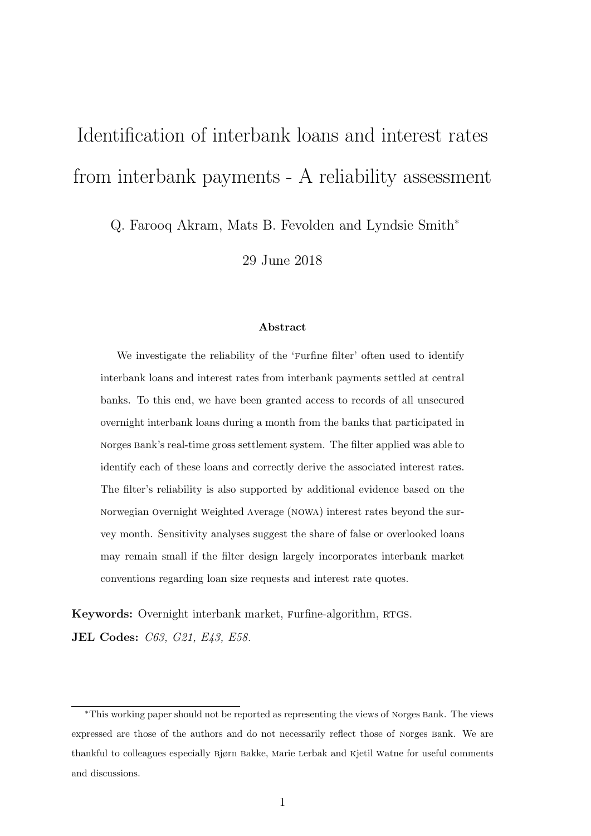# <span id="page-2-0"></span>Identification of interbank loans and interest rates from interbank payments - A reliability assessment

Q. Farooq Akram, Mats B. Fevolden and Lyndsie Smith<sup>∗</sup>

29 June 2018

#### Abstract

We investigate the reliability of the 'Furfine filter' often used to identify interbank loans and interest rates from interbank payments settled at central banks. To this end, we have been granted access to records of all unsecured overnight interbank loans during a month from the banks that participated in norges bank's real-time gross settlement system. The filter applied was able to identify each of these loans and correctly derive the associated interest rates. The filter's reliability is also supported by additional evidence based on the norwegian overnight weighted average (nowa) interest rates beyond the survey month. Sensitivity analyses suggest the share of false or overlooked loans may remain small if the filter design largely incorporates interbank market conventions regarding loan size requests and interest rate quotes.

Keywords: Overnight interbank market, Furfine-algorithm, RTGS. JEL Codes: C63, G21, E43, E58.

<sup>∗</sup>This working paper should not be reported as representing the views of norges bank. The views expressed are those of the authors and do not necessarily reflect those of norges bank. We are thankful to colleagues especially bjørn bakke, marie lerbak and kjetil watne for useful comments and discussions.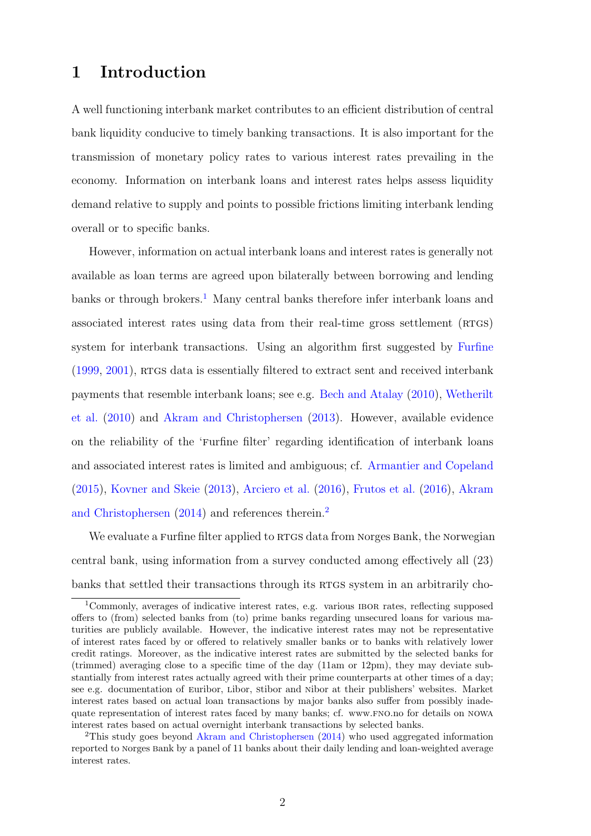### 1 Introduction

A well functioning interbank market contributes to an efficient distribution of central bank liquidity conducive to timely banking transactions. It is also important for the transmission of monetary policy rates to various interest rates prevailing in the economy. Information on interbank loans and interest rates helps assess liquidity demand relative to supply and points to possible frictions limiting interbank lending overall or to specific banks.

However, information on actual interbank loans and interest rates is generally not available as loan terms are agreed upon bilaterally between borrowing and lending banks or through brokers.<sup>[1](#page-2-0)</sup> Many central banks therefore infer interbank loans and associated interest rates using data from their real-time gross settlement (RTGS) system for interbank transactions. Using an algorithm first suggested by [Furfine](#page-21-0)  $(1999, 2001)$  $(1999, 2001)$  $(1999, 2001)$ , RTGS data is essentially filtered to extract sent and received interbank payments that resemble interbank loans; see e.g. [Bech and Atalay](#page-21-2) [\(2010\)](#page-21-2), [Wetherilt](#page-22-0) [et al.](#page-22-0) [\(2010\)](#page-22-0) and [Akram and Christophersen](#page-20-0) [\(2013\)](#page-20-0). However, available evidence on the reliability of the 'furfine filter' regarding identification of interbank loans and associated interest rates is limited and ambiguous; cf. [Armantier and Copeland](#page-20-1) [\(2015\)](#page-20-1), [Kovner and Skeie](#page-21-3) [\(2013\)](#page-21-3), [Arciero et al.](#page-20-2) [\(2016\)](#page-20-2), [Frutos et al.](#page-21-4) [\(2016\)](#page-21-4), [Akram](#page-20-3) [and Christophersen](#page-20-3) [\(2014\)](#page-20-3) and references therein.<sup>[2](#page-2-0)</sup>

We evaluate a Furfine filter applied to RTGS data from Norges Bank, the Norwegian central bank, using information from a survey conducted among effectively all (23) banks that settled their transactions through its RTGS system in an arbitrarily cho-

<sup>1</sup>Commonly, averages of indicative interest rates, e.g. various ibor rates, reflecting supposed offers to (from) selected banks from (to) prime banks regarding unsecured loans for various maturities are publicly available. However, the indicative interest rates may not be representative of interest rates faced by or offered to relatively smaller banks or to banks with relatively lower credit ratings. Moreover, as the indicative interest rates are submitted by the selected banks for (trimmed) averaging close to a specific time of the day (11am or 12pm), they may deviate substantially from interest rates actually agreed with their prime counterparts at other times of a day; see e.g. documentation of euribor, libor, stibor and nibor at their publishers' websites. Market interest rates based on actual loan transactions by major banks also suffer from possibly inadequate representation of interest rates faced by many banks; cf. www.fno.no for details on nowa interest rates based on actual overnight interbank transactions by selected banks.

<sup>&</sup>lt;sup>2</sup>This study goes beyond [Akram and Christophersen](#page-20-3) [\(2014\)](#page-20-3) who used aggregated information reported to norges bank by a panel of 11 banks about their daily lending and loan-weighted average interest rates.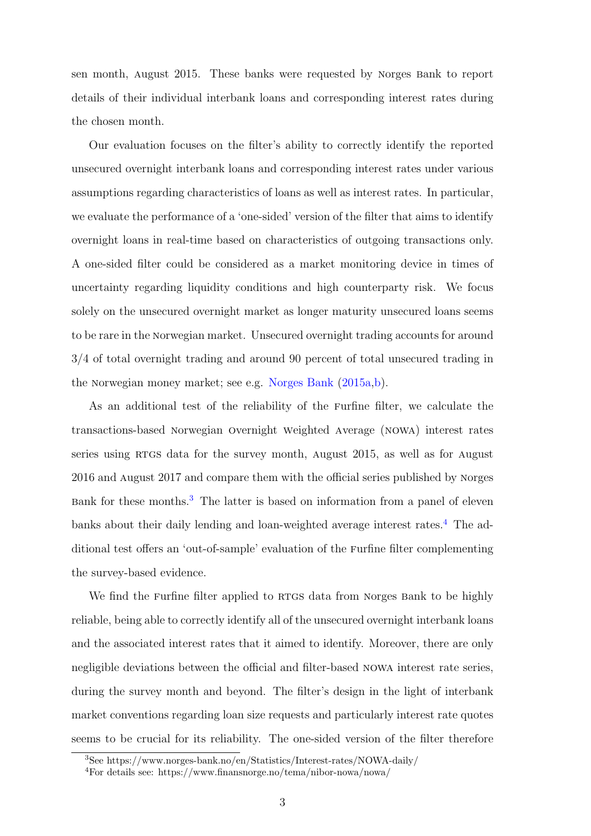sen month, august 2015. These banks were requested by norges bank to report details of their individual interbank loans and corresponding interest rates during the chosen month.

Our evaluation focuses on the filter's ability to correctly identify the reported unsecured overnight interbank loans and corresponding interest rates under various assumptions regarding characteristics of loans as well as interest rates. In particular, we evaluate the performance of a 'one-sided' version of the filter that aims to identify overnight loans in real-time based on characteristics of outgoing transactions only. A one-sided filter could be considered as a market monitoring device in times of uncertainty regarding liquidity conditions and high counterparty risk. We focus solely on the unsecured overnight market as longer maturity unsecured loans seems to be rare in the norwegian market. Unsecured overnight trading accounts for around 3/4 of total overnight trading and around 90 percent of total unsecured trading in the norwegian money market; see e.g. [Norges Bank](#page-21-5) [\(2015a,](#page-21-5)[b\)](#page-21-6).

As an additional test of the reliability of the furfine filter, we calculate the transactions-based norwegian overnight weighted average (nowa) interest rates series using RTGS data for the survey month, August 2015, as well as for August 2016 and august 2017 and compare them with the official series published by norges bank for these months.[3](#page-2-0) The latter is based on information from a panel of eleven banks about their daily lending and loan-weighted average interest rates.<sup>[4](#page-2-0)</sup> The additional test offers an 'out-of-sample' evaluation of the furfine filter complementing the survey-based evidence.

We find the Furfine filter applied to RTGS data from Norges Bank to be highly reliable, being able to correctly identify all of the unsecured overnight interbank loans and the associated interest rates that it aimed to identify. Moreover, there are only negligible deviations between the official and filter-based nowa interest rate series, during the survey month and beyond. The filter's design in the light of interbank market conventions regarding loan size requests and particularly interest rate quotes seems to be crucial for its reliability. The one-sided version of the filter therefore

<sup>3</sup>See https://www.norges-bank.no/en/Statistics/Interest-rates/NOWA-daily/

<sup>4</sup>For details see: https://www.finansnorge.no/tema/nibor-nowa/nowa/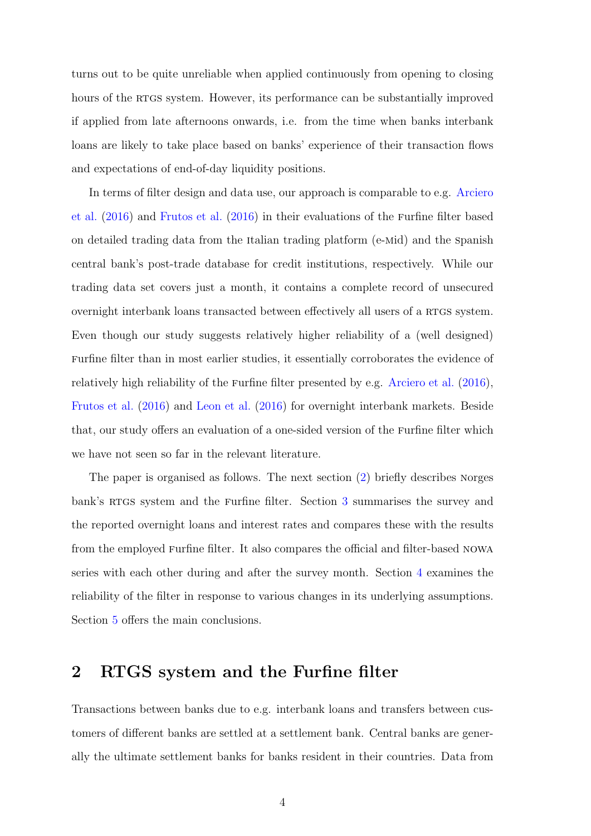turns out to be quite unreliable when applied continuously from opening to closing hours of the RTGS system. However, its performance can be substantially improved if applied from late afternoons onwards, i.e. from the time when banks interbank loans are likely to take place based on banks' experience of their transaction flows and expectations of end-of-day liquidity positions.

In terms of filter design and data use, our approach is comparable to e.g. [Arciero](#page-20-2) [et al.](#page-20-2) [\(2016\)](#page-20-2) and [Frutos et al.](#page-21-4) [\(2016\)](#page-21-4) in their evaluations of the furfine filter based on detailed trading data from the italian trading platform (e-mid) and the spanish central bank's post-trade database for credit institutions, respectively. While our trading data set covers just a month, it contains a complete record of unsecured overnight interbank loans transacted between effectively all users of a RTGS system. Even though our study suggests relatively higher reliability of a (well designed) furfine filter than in most earlier studies, it essentially corroborates the evidence of relatively high reliability of the furfine filter presented by e.g. [Arciero et al.](#page-20-2) [\(2016\)](#page-20-2), [Frutos et al.](#page-21-4) [\(2016\)](#page-21-4) and [Leon et al.](#page-21-7) [\(2016\)](#page-21-7) for overnight interbank markets. Beside that, our study offers an evaluation of a one-sided version of the furfine filter which we have not seen so far in the relevant literature.

The paper is organised as follows. The next section [\(2\)](#page-5-0) briefly describes norges bank's RTGS system and the Furfine filter. Section [3](#page-8-0) summarises the survey and the reported overnight loans and interest rates and compares these with the results from the employed furfine filter. It also compares the official and filter-based nowa series with each other during and after the survey month. Section [4](#page-13-0) examines the reliability of the filter in response to various changes in its underlying assumptions. Section [5](#page-19-0) offers the main conclusions.

# <span id="page-5-0"></span>2 RTGS system and the Furfine filter

Transactions between banks due to e.g. interbank loans and transfers between customers of different banks are settled at a settlement bank. Central banks are generally the ultimate settlement banks for banks resident in their countries. Data from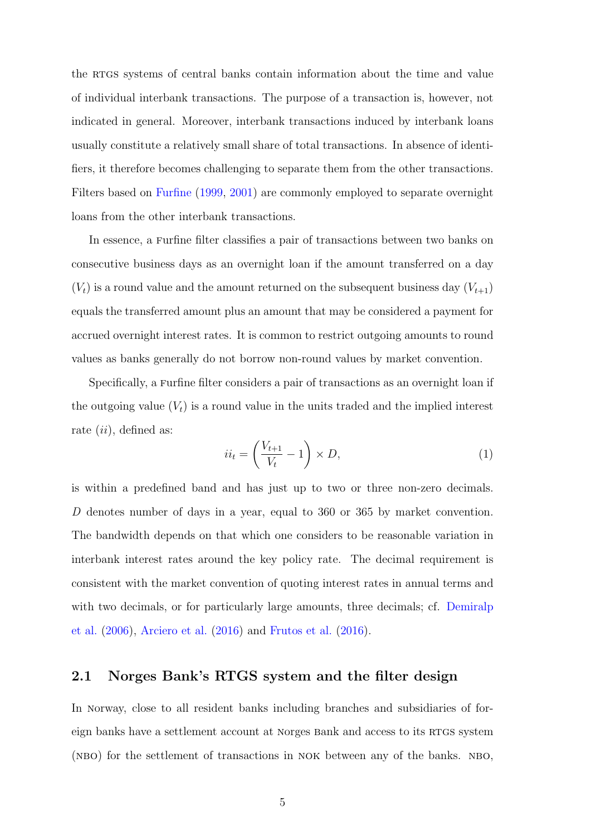the RTGS systems of central banks contain information about the time and value of individual interbank transactions. The purpose of a transaction is, however, not indicated in general. Moreover, interbank transactions induced by interbank loans usually constitute a relatively small share of total transactions. In absence of identifiers, it therefore becomes challenging to separate them from the other transactions. Filters based on [Furfine](#page-21-0) [\(1999,](#page-21-0) [2001\)](#page-21-1) are commonly employed to separate overnight loans from the other interbank transactions.

In essence, a furfine filter classifies a pair of transactions between two banks on consecutive business days as an overnight loan if the amount transferred on a day  $(V_t)$  is a round value and the amount returned on the subsequent business day  $(V_{t+1})$ equals the transferred amount plus an amount that may be considered a payment for accrued overnight interest rates. It is common to restrict outgoing amounts to round values as banks generally do not borrow non-round values by market convention.

Specifically, a furfine filter considers a pair of transactions as an overnight loan if the outgoing value  $(V_t)$  is a round value in the units traded and the implied interest rate  $(ii)$ , defined as:

$$
ii_t = \left(\frac{V_{t+1}}{V_t} - 1\right) \times D,\tag{1}
$$

is within a predefined band and has just up to two or three non-zero decimals. D denotes number of days in a year, equal to 360 or 365 by market convention. The bandwidth depends on that which one considers to be reasonable variation in interbank interest rates around the key policy rate. The decimal requirement is consistent with the market convention of quoting interest rates in annual terms and with two decimals, or for particularly large amounts, three decimals; cf. [Demiralp](#page-21-8) [et al.](#page-21-8) [\(2006\)](#page-21-8), [Arciero et al.](#page-20-2) [\(2016\)](#page-20-2) and [Frutos et al.](#page-21-4) [\(2016\)](#page-21-4).

#### 2.1 Norges Bank's RTGS system and the filter design

In norway, close to all resident banks including branches and subsidiaries of foreign banks have a settlement account at Norges Bank and access to its RTGS system (NBO) for the settlement of transactions in NOK between any of the banks. NBO,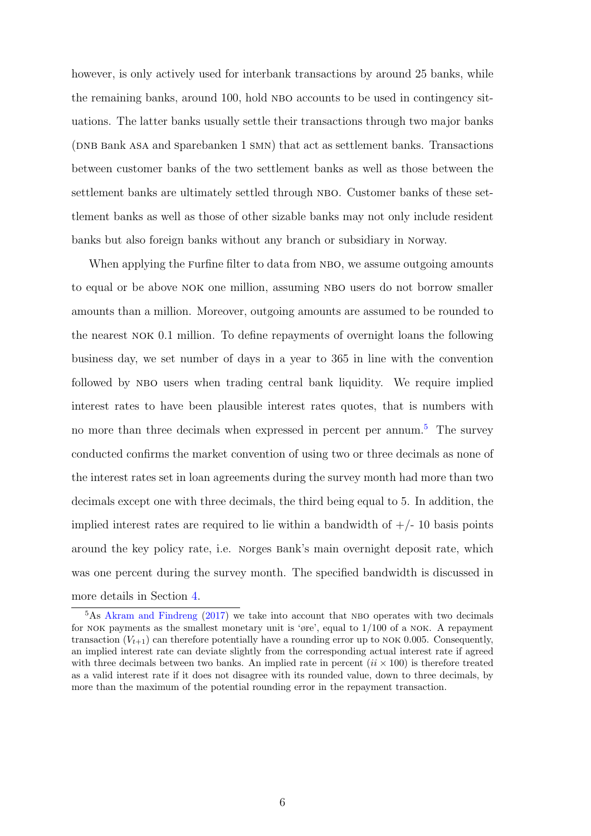however, is only actively used for interbank transactions by around 25 banks, while the remaining banks, around 100, hold NBO accounts to be used in contingency situations. The latter banks usually settle their transactions through two major banks (DNB Bank ASA and Sparebanken 1 SMN) that act as settlement banks. Transactions between customer banks of the two settlement banks as well as those between the settlement banks are ultimately settled through NBO. Customer banks of these settlement banks as well as those of other sizable banks may not only include resident banks but also foreign banks without any branch or subsidiary in norway.

When applying the Furfine filter to data from NBO, we assume outgoing amounts to equal or be above NOK one million, assuming NBO users do not borrow smaller amounts than a million. Moreover, outgoing amounts are assumed to be rounded to the nearest nok 0.1 million. To define repayments of overnight loans the following business day, we set number of days in a year to 365 in line with the convention followed by NBO users when trading central bank liquidity. We require implied interest rates to have been plausible interest rates quotes, that is numbers with no more than three decimals when expressed in percent per annum.<sup>[5](#page-2-0)</sup> The survey conducted confirms the market convention of using two or three decimals as none of the interest rates set in loan agreements during the survey month had more than two decimals except one with three decimals, the third being equal to 5. In addition, the implied interest rates are required to lie within a bandwidth of  $+/-10$  basis points around the key policy rate, i.e. norges bank's main overnight deposit rate, which was one percent during the survey month. The specified bandwidth is discussed in more details in Section [4.](#page-13-0)

 $5$ As [Akram and Findreng](#page-20-4) [\(2017\)](#page-20-4) we take into account that NBO operates with two decimals for NOK payments as the smallest monetary unit is 'øre', equal to  $1/100$  of a NOK. A repayment transaction  $(V_{t+1})$  can therefore potentially have a rounding error up to NOK 0.005. Consequently, an implied interest rate can deviate slightly from the corresponding actual interest rate if agreed with three decimals between two banks. An implied rate in percent  $(ii \times 100)$  is therefore treated as a valid interest rate if it does not disagree with its rounded value, down to three decimals, by more than the maximum of the potential rounding error in the repayment transaction.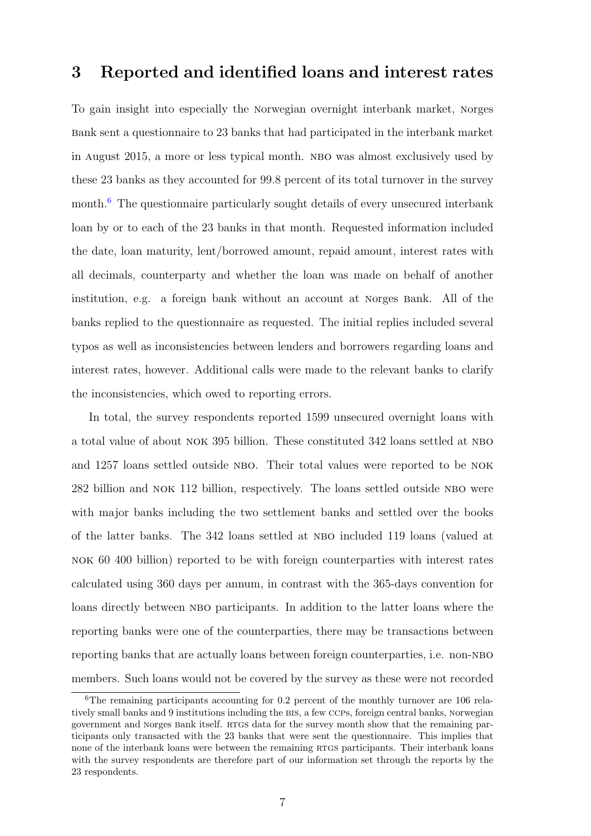# <span id="page-8-0"></span>3 Reported and identified loans and interest rates

To gain insight into especially the norwegian overnight interbank market, norges bank sent a questionnaire to 23 banks that had participated in the interbank market in august 2015, a more or less typical month. nbo was almost exclusively used by these 23 banks as they accounted for 99.8 percent of its total turnover in the survey month.<sup>[6](#page-2-0)</sup> The questionnaire particularly sought details of every unsecured interbank loan by or to each of the 23 banks in that month. Requested information included the date, loan maturity, lent/borrowed amount, repaid amount, interest rates with all decimals, counterparty and whether the loan was made on behalf of another institution, e.g. a foreign bank without an account at norges bank. All of the banks replied to the questionnaire as requested. The initial replies included several typos as well as inconsistencies between lenders and borrowers regarding loans and interest rates, however. Additional calls were made to the relevant banks to clarify the inconsistencies, which owed to reporting errors.

In total, the survey respondents reported 1599 unsecured overnight loans with a total value of about nok 395 billion. These constituted 342 loans settled at nbo and 1257 loans settled outside NBO. Their total values were reported to be NOK 282 billion and nok 112 billion, respectively. The loans settled outside nbo were with major banks including the two settlement banks and settled over the books of the latter banks. The 342 loans settled at nbo included 119 loans (valued at nok 60 400 billion) reported to be with foreign counterparties with interest rates calculated using 360 days per annum, in contrast with the 365-days convention for loans directly between NBO participants. In addition to the latter loans where the reporting banks were one of the counterparties, there may be transactions between reporting banks that are actually loans between foreign counterparties, i.e. non-NBO members. Such loans would not be covered by the survey as these were not recorded

 ${}^{6}$ The remaining participants accounting for 0.2 percent of the monthly turnover are 106 relatively small banks and 9 institutions including the bis, a few ccps, foreign central banks, norwegian government and Norges Bank itself. RTGS data for the survey month show that the remaining participants only transacted with the 23 banks that were sent the questionnaire. This implies that none of the interbank loans were between the remaining RTGS participants. Their interbank loans with the survey respondents are therefore part of our information set through the reports by the 23 respondents.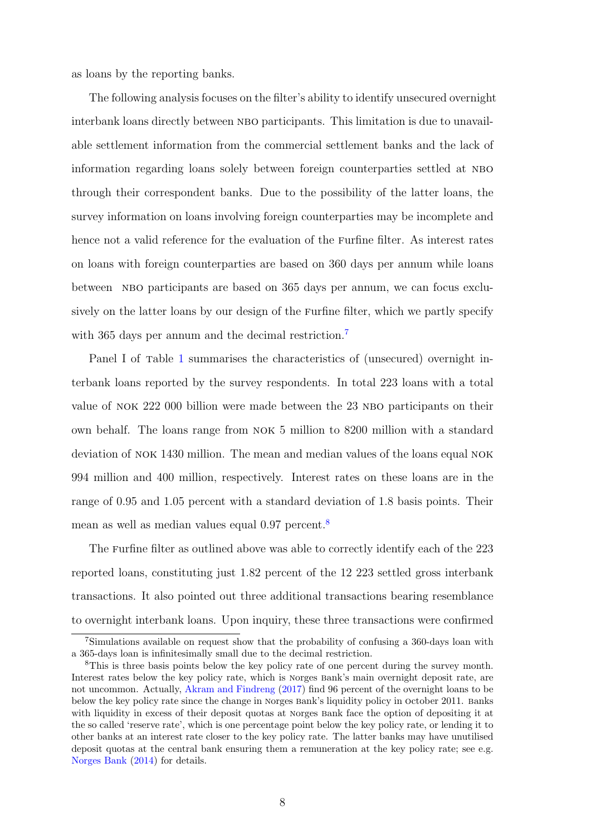as loans by the reporting banks.

The following analysis focuses on the filter's ability to identify unsecured overnight interbank loans directly between NBO participants. This limitation is due to unavailable settlement information from the commercial settlement banks and the lack of information regarding loans solely between foreign counterparties settled at nbo through their correspondent banks. Due to the possibility of the latter loans, the survey information on loans involving foreign counterparties may be incomplete and hence not a valid reference for the evaluation of the furfine filter. As interest rates on loans with foreign counterparties are based on 360 days per annum while loans between NBO participants are based on 365 days per annum, we can focus exclusively on the latter loans by our design of the furfine filter, which we partly specify with 365 days per annum and the decimal restriction.<sup>[7](#page-2-0)</sup>

Panel I of table [1](#page-10-0) summarises the characteristics of (unsecured) overnight interbank loans reported by the survey respondents. In total 223 loans with a total value of NOK 222 000 billion were made between the 23 NBO participants on their own behalf. The loans range from nok 5 million to 8200 million with a standard deviation of nok 1430 million. The mean and median values of the loans equal nok 994 million and 400 million, respectively. Interest rates on these loans are in the range of 0.95 and 1.05 percent with a standard deviation of 1.8 basis points. Their mean as well as median values equal 0.97 percent.<sup>[8](#page-2-0)</sup>

The furfine filter as outlined above was able to correctly identify each of the 223 reported loans, constituting just 1.82 percent of the 12 223 settled gross interbank transactions. It also pointed out three additional transactions bearing resemblance to overnight interbank loans. Upon inquiry, these three transactions were confirmed

<sup>7</sup>Simulations available on request show that the probability of confusing a 360-days loan with a 365-days loan is infinitesimally small due to the decimal restriction.

<sup>&</sup>lt;sup>8</sup>This is three basis points below the key policy rate of one percent during the survey month. Interest rates below the key policy rate, which is norges bank's main overnight deposit rate, are not uncommon. Actually, [Akram and Findreng](#page-20-4) [\(2017\)](#page-20-4) find 96 percent of the overnight loans to be below the key policy rate since the change in norges bank's liquidity policy in october 2011. banks with liquidity in excess of their deposit quotas at Norges Bank face the option of depositing it at the so called 'reserve rate', which is one percentage point below the key policy rate, or lending it to other banks at an interest rate closer to the key policy rate. The latter banks may have unutilised deposit quotas at the central bank ensuring them a remuneration at the key policy rate; see e.g. [Norges Bank](#page-21-9) [\(2014\)](#page-21-9) for details.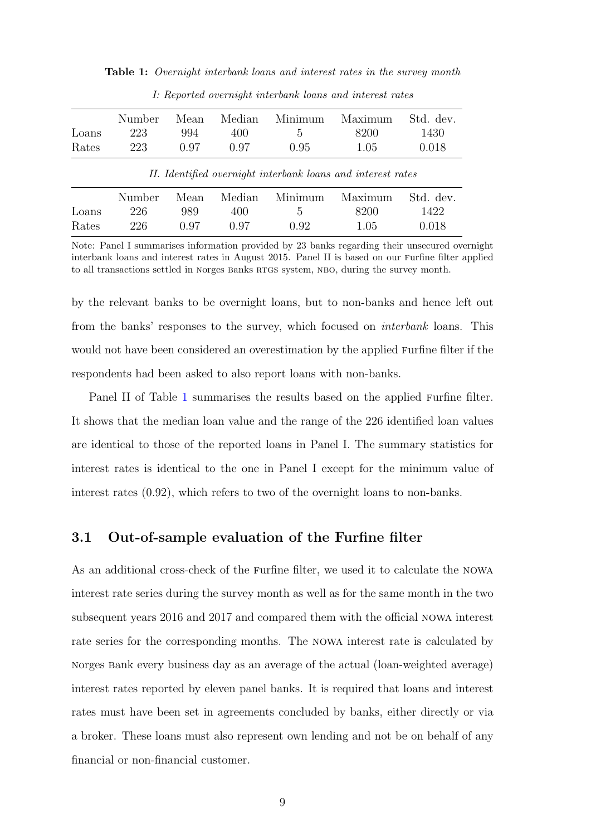|       |        |      |        | Minimum |                                                             |           |
|-------|--------|------|--------|---------|-------------------------------------------------------------|-----------|
|       | Number | Mean | Median |         | Maximum                                                     | Std. dev. |
| Loans | 223    | 994  | 400    | 5.      | 8200                                                        | 1430      |
| Rates | 223    | 0.97 | 0.97   | 0.95    | 1.05                                                        | 0.018     |
|       |        |      |        |         | II. Identified overnight interbank loans and interest rates |           |
|       | Number | Mean | Median | Minimum | Maximum                                                     | Std. dev. |
| Loans | 226    | 989  | 400    | Ġ,      | 8200                                                        | 1422      |

Rates 226 0.97 0.97 0.92 1.05 0.018

<span id="page-10-0"></span>Table 1: Overnight interbank loans and interest rates in the survey month

I: Reported overnight interbank loans and interest rates

Note: Panel I summarises information provided by 23 banks regarding their unsecured overnight interbank loans and interest rates in August 2015. Panel II is based on our furfine filter applied to all transactions settled in Norges Banks RTGS system, NBO, during the survey month.

by the relevant banks to be overnight loans, but to non-banks and hence left out from the banks' responses to the survey, which focused on interbank loans. This would not have been considered an overestimation by the applied furfine filter if the respondents had been asked to also report loans with non-banks.

Panel II of Table [1](#page-10-0) summarises the results based on the applied furfine filter. It shows that the median loan value and the range of the 226 identified loan values are identical to those of the reported loans in Panel I. The summary statistics for interest rates is identical to the one in Panel I except for the minimum value of interest rates (0.92), which refers to two of the overnight loans to non-banks.

#### 3.1 Out-of-sample evaluation of the Furfine filter

As an additional cross-check of the furfine filter, we used it to calculate the nowa interest rate series during the survey month as well as for the same month in the two subsequent years 2016 and 2017 and compared them with the official nowa interest rate series for the corresponding months. The nowa interest rate is calculated by norges bank every business day as an average of the actual (loan-weighted average) interest rates reported by eleven panel banks. It is required that loans and interest rates must have been set in agreements concluded by banks, either directly or via a broker. These loans must also represent own lending and not be on behalf of any financial or non-financial customer.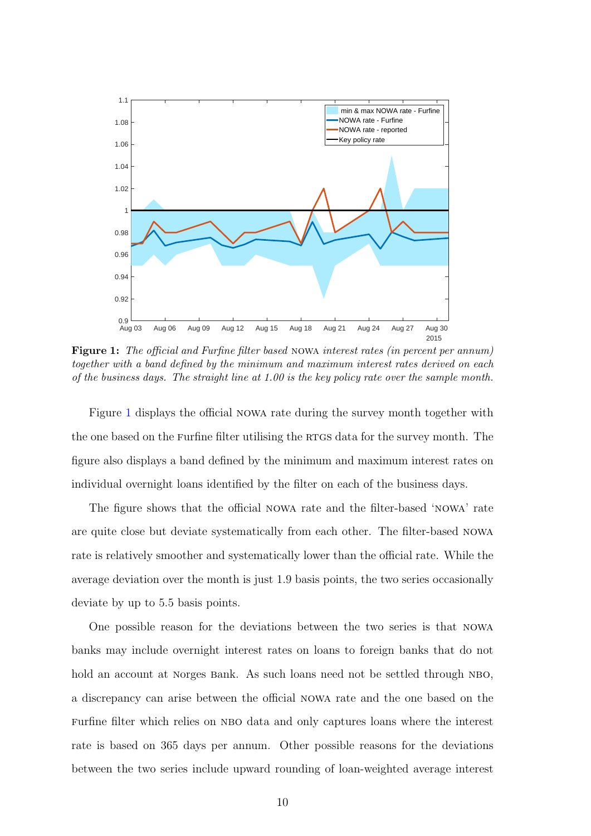<span id="page-11-0"></span>

Figure 1: The official and Furfine filter based nowa interest rates (in percent per annum) together with a band defined by the minimum and maximum interest rates derived on each of the business days. The straight line at 1.00 is the key policy rate over the sample month.

Figure [1](#page-11-0) displays the official nowa rate during the survey month together with the one based on the Furfine filter utilising the RTGS data for the survey month. The figure also displays a band defined by the minimum and maximum interest rates on individual overnight loans identified by the filter on each of the business days.

The figure shows that the official nowa rate and the filter-based 'nowa' rate are quite close but deviate systematically from each other. The filter-based nowa rate is relatively smoother and systematically lower than the official rate. While the average deviation over the month is just 1.9 basis points, the two series occasionally deviate by up to 5.5 basis points.

One possible reason for the deviations between the two series is that nowa banks may include overnight interest rates on loans to foreign banks that do not hold an account at Norges Bank. As such loans need not be settled through NBO, a discrepancy can arise between the official nowa rate and the one based on the Furfine filter which relies on NBO data and only captures loans where the interest rate is based on 365 days per annum. Other possible reasons for the deviations between the two series include upward rounding of loan-weighted average interest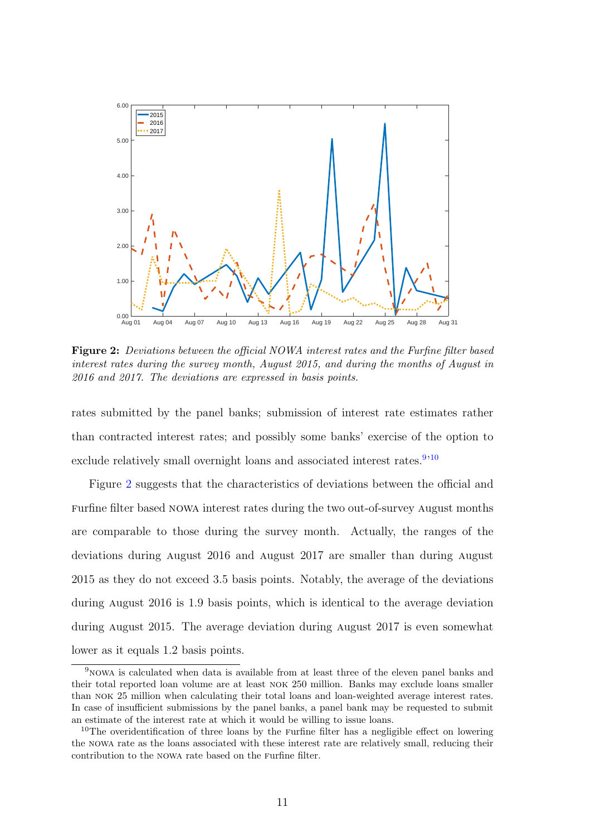<span id="page-12-0"></span>

Figure 2: Deviations between the official NOWA interest rates and the Furfine filter based interest rates during the survey month, August 2015, and during the months of August in 2016 and 2017. The deviations are expressed in basis points.

rates submitted by the panel banks; submission of interest rate estimates rather than contracted interest rates; and possibly some banks' exercise of the option to exclude relatively small overnight loans and associated interest rates.<sup>[9](#page-2-0),[10](#page-2-0)</sup>

Figure [2](#page-12-0) suggests that the characteristics of deviations between the official and furfine filter based nowa interest rates during the two out-of-survey august months are comparable to those during the survey month. Actually, the ranges of the deviations during august 2016 and august 2017 are smaller than during august 2015 as they do not exceed 3.5 basis points. Notably, the average of the deviations during august 2016 is 1.9 basis points, which is identical to the average deviation during august 2015. The average deviation during august 2017 is even somewhat lower as it equals 1.2 basis points.

<sup>9</sup>nowa is calculated when data is available from at least three of the eleven panel banks and their total reported loan volume are at least nok 250 million. Banks may exclude loans smaller than nok 25 million when calculating their total loans and loan-weighted average interest rates. In case of insufficient submissions by the panel banks, a panel bank may be requested to submit an estimate of the interest rate at which it would be willing to issue loans.

<sup>&</sup>lt;sup>10</sup>The overidentification of three loans by the Furfine filter has a negligible effect on lowering the nowa rate as the loans associated with these interest rate are relatively small, reducing their contribution to the nowa rate based on the furfine filter.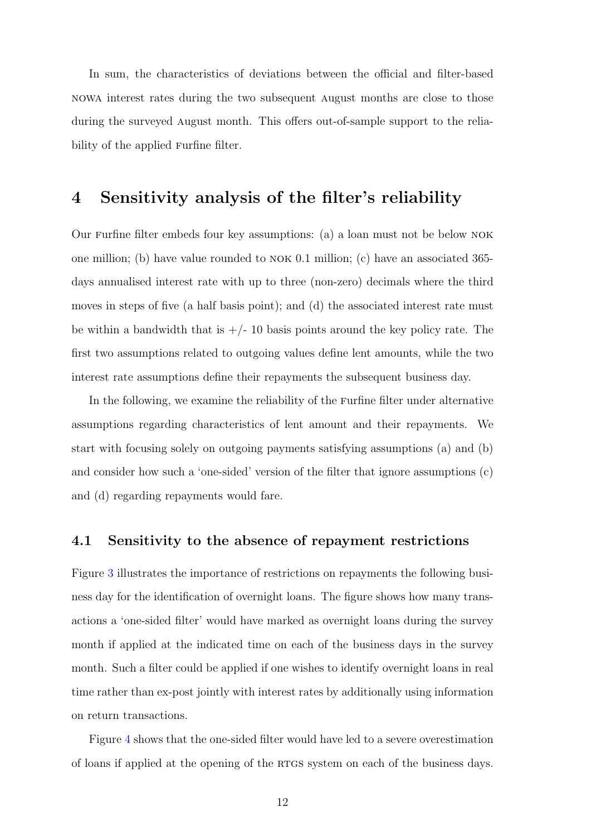In sum, the characteristics of deviations between the official and filter-based nowa interest rates during the two subsequent august months are close to those during the surveyed august month. This offers out-of-sample support to the reliability of the applied Furfine filter.

# <span id="page-13-0"></span>4 Sensitivity analysis of the filter's reliability

Our furfine filter embeds four key assumptions: (a) a loan must not be below nok one million; (b) have value rounded to nok 0.1 million; (c) have an associated 365 days annualised interest rate with up to three (non-zero) decimals where the third moves in steps of five (a half basis point); and (d) the associated interest rate must be within a bandwidth that is  $+/- 10$  basis points around the key policy rate. The first two assumptions related to outgoing values define lent amounts, while the two interest rate assumptions define their repayments the subsequent business day.

In the following, we examine the reliability of the furfine filter under alternative assumptions regarding characteristics of lent amount and their repayments. We start with focusing solely on outgoing payments satisfying assumptions (a) and (b) and consider how such a 'one-sided' version of the filter that ignore assumptions (c) and (d) regarding repayments would fare.

#### 4.1 Sensitivity to the absence of repayment restrictions

Figure [3](#page-14-0) illustrates the importance of restrictions on repayments the following business day for the identification of overnight loans. The figure shows how many transactions a 'one-sided filter' would have marked as overnight loans during the survey month if applied at the indicated time on each of the business days in the survey month. Such a filter could be applied if one wishes to identify overnight loans in real time rather than ex-post jointly with interest rates by additionally using information on return transactions.

Figure [4](#page-15-0) shows that the one-sided filter would have led to a severe overestimation of loans if applied at the opening of the rtgs system on each of the business days.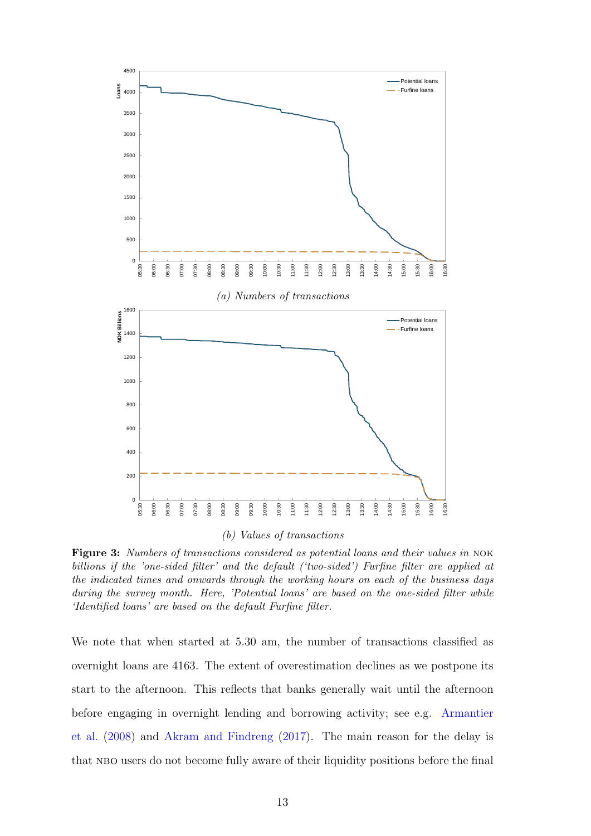<span id="page-14-0"></span>

Figure 3: Numbers of transactions considered as potential loans and their values in NOK billions if the 'one-sided filter' and the default ('two-sided') Furfine filter are applied at the indicated times and onwards through the working hours on each of the business days during the survey month. Here, 'Potential loans' are based on the one-sided filter while 'Identified loans' are based on the default Furfine filter.

We note that when started at 5.30 am, the number of transactions classified as overnight loans are 4163. The extent of overestimation declines as we postpone its start to the afternoon. This reflects that banks generally wait until the afternoon before engaging in overnight lending and borrowing activity; see e.g. [Armantier](#page-20-5) [et al.](#page-20-5) [\(2008\)](#page-20-5) and [Akram and Findreng](#page-20-4) [\(2017\)](#page-20-4). The main reason for the delay is that NBO users do not become fully aware of their liquidity positions before the final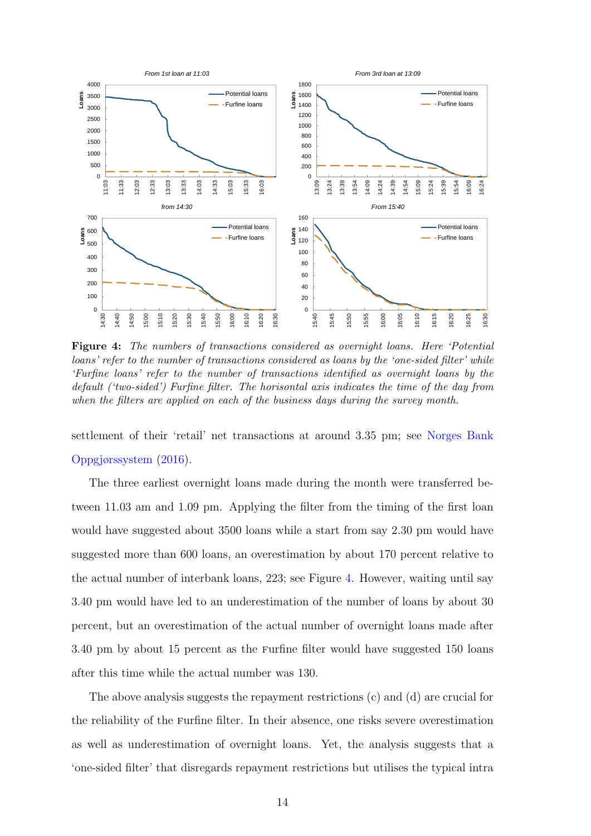<span id="page-15-0"></span>

Figure 4: The numbers of transactions considered as overnight loans. Here 'Potential loans' refer to the number of transactions considered as loans by the 'one-sided filter' while 'Furfine loans' refer to the number of transactions identified as overnight loans by the default ('two-sided') Furfine filter. The horisontal axis indicates the time of the day from when the filters are applied on each of the business days during the survey month.

settlement of their 'retail' net transactions at around 3.35 pm; see [Norges Bank](#page-21-10) [Oppgjørssystem](#page-21-10) [\(2016\)](#page-21-10).

The three earliest overnight loans made during the month were transferred between 11.03 am and 1.09 pm. Applying the filter from the timing of the first loan would have suggested about 3500 loans while a start from say 2.30 pm would have suggested more than 600 loans, an overestimation by about 170 percent relative to the actual number of interbank loans, 223; see Figure [4.](#page-15-0) However, waiting until say 3.40 pm would have led to an underestimation of the number of loans by about 30 percent, but an overestimation of the actual number of overnight loans made after 3.40 pm by about 15 percent as the furfine filter would have suggested 150 loans after this time while the actual number was 130.

The above analysis suggests the repayment restrictions (c) and (d) are crucial for the reliability of the furfine filter. In their absence, one risks severe overestimation as well as underestimation of overnight loans. Yet, the analysis suggests that a 'one-sided filter' that disregards repayment restrictions but utilises the typical intra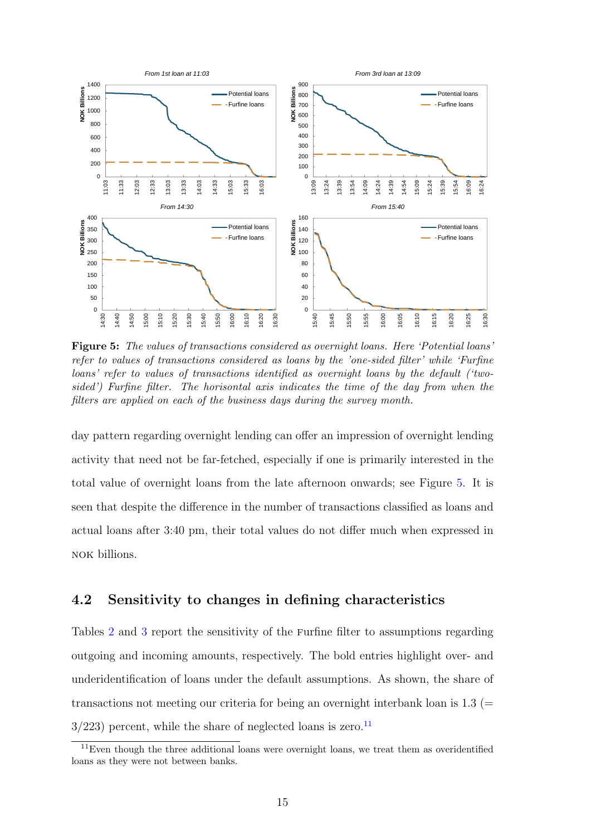<span id="page-16-0"></span>

Figure 5: The values of transactions considered as overnight loans. Here 'Potential loans' refer to values of transactions considered as loans by the 'one-sided filter' while 'Furfine loans' refer to values of transactions identified as overnight loans by the default ('twosided') Furfine filter. The horisontal axis indicates the time of the day from when the filters are applied on each of the business days during the survey month.

day pattern regarding overnight lending can offer an impression of overnight lending activity that need not be far-fetched, especially if one is primarily interested in the total value of overnight loans from the late afternoon onwards; see Figure [5.](#page-16-0) It is seen that despite the difference in the number of transactions classified as loans and actual loans after 3:40 pm, their total values do not differ much when expressed in nok billions.

#### 4.2 Sensitivity to changes in defining characteristics

Tables [2](#page-17-0) and [3](#page-18-0) report the sensitivity of the furfine filter to assumptions regarding outgoing and incoming amounts, respectively. The bold entries highlight over- and underidentification of loans under the default assumptions. As shown, the share of transactions not meeting our criteria for being an overnight interbank loan is  $1.3$  (=  $3/223$ ) percent, while the share of neglected loans is zero.<sup>[11](#page-2-0)</sup>

 $11$ Even though the three additional loans were overnight loans, we treat them as overidentified loans as they were not between banks.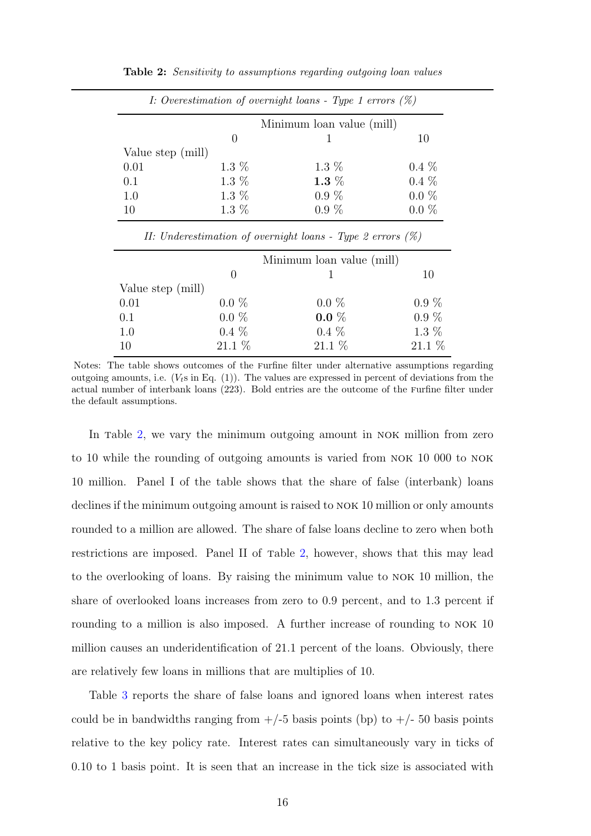|                   |                  | I: Overestimation of overnight loans - Type 1 errors $(\%)$ |         |
|-------------------|------------------|-------------------------------------------------------------|---------|
|                   |                  | Minimum loan value (mill)                                   |         |
|                   | $\left( \right)$ |                                                             | 10      |
| Value step (mill) |                  |                                                             |         |
| 0.01              | $1.3\%$          | $1.3\%$                                                     | $0.4\%$ |
| 0.1               | $1.3\%$          | $1.3\%$                                                     | $0.4\%$ |
| 1.0               | $1.3\%$          | $0.9\%$                                                     | $0.0\%$ |
| 10                | $1.3\%$          | $0.9\%$                                                     | $0.0\%$ |

<span id="page-17-0"></span>Table 2: Sensitivity to assumptions regarding outgoing loan values

|  |  | II: Underestimation of overnight loans - Type 2 errors $(\%)$ |  |  |  |  |  |  |  |
|--|--|---------------------------------------------------------------|--|--|--|--|--|--|--|
|--|--|---------------------------------------------------------------|--|--|--|--|--|--|--|

|                   |                  | Minimum loan value (mill) |          |
|-------------------|------------------|---------------------------|----------|
|                   | $\left( \right)$ |                           | 10       |
| Value step (mill) |                  |                           |          |
| 0.01              | $0.0\%$          | $0.0\%$                   | $0.9\%$  |
| 0.1               | $0.0\%$          | $0.0 \%$                  | $0.9\%$  |
| 1.0               | $0.4\%$          | $0.4\%$                   | $1.3\%$  |
| 10                | $21.1\%$         | $21.1\%$                  | $21.1\%$ |

Notes: The table shows outcomes of the furfine filter under alternative assumptions regarding outgoing amounts, i.e.  $(V<sub>t</sub> s$  in Eq. (1)). The values are expressed in percent of deviations from the actual number of interbank loans (223). Bold entries are the outcome of the furfine filter under the default assumptions.

In table [2,](#page-17-0) we vary the minimum outgoing amount in NOK million from zero to 10 while the rounding of outgoing amounts is varied from nok 10 000 to nok 10 million. Panel I of the table shows that the share of false (interbank) loans declines if the minimum outgoing amount is raised to nok 10 million or only amounts rounded to a million are allowed. The share of false loans decline to zero when both restrictions are imposed. Panel II of table [2,](#page-17-0) however, shows that this may lead to the overlooking of loans. By raising the minimum value to nok 10 million, the share of overlooked loans increases from zero to 0.9 percent, and to 1.3 percent if rounding to a million is also imposed. A further increase of rounding to NOK 10 million causes an underidentification of 21.1 percent of the loans. Obviously, there are relatively few loans in millions that are multiplies of 10.

Table [3](#page-18-0) reports the share of false loans and ignored loans when interest rates could be in bandwidths ranging from  $+/-5$  basis points (bp) to  $+/-50$  basis points relative to the key policy rate. Interest rates can simultaneously vary in ticks of 0.10 to 1 basis point. It is seen that an increase in the tick size is associated with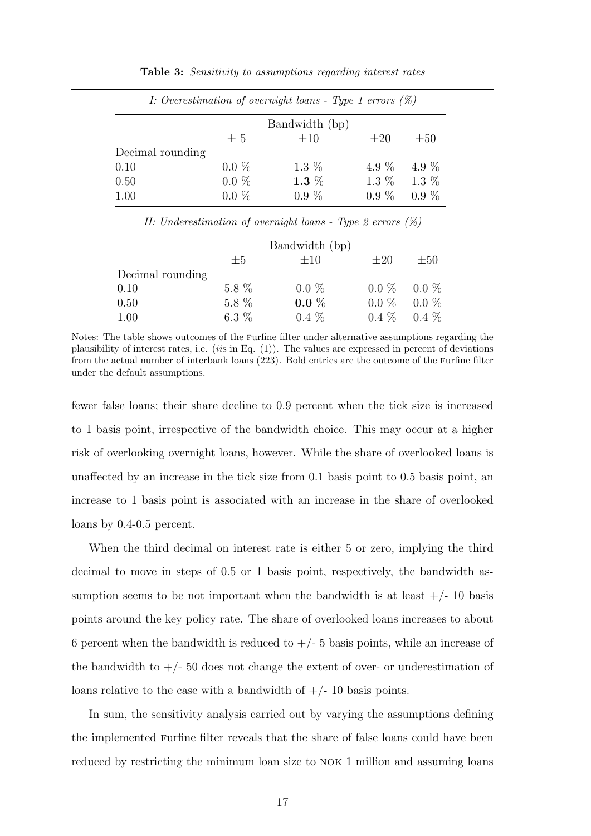<span id="page-18-0"></span>

|                  | I: Overestimation of overnight loans - Type 1 errors $(\%)$ |                                                                                 |                 |          |  |  |
|------------------|-------------------------------------------------------------|---------------------------------------------------------------------------------|-----------------|----------|--|--|
|                  | Bandwidth (bp)                                              |                                                                                 |                 |          |  |  |
|                  | $\pm$ 5                                                     | $\pm 10$                                                                        | $\pm 20$        | $\pm 50$ |  |  |
| Decimal rounding |                                                             |                                                                                 |                 |          |  |  |
| 0.10             | $0.0\%$                                                     | $1.3\%$                                                                         | 4.9 $%$         | 4.9 $%$  |  |  |
| 0.50             | $0.0\%$                                                     | $1.3\%$                                                                         | $1.3\%$ $1.3\%$ |          |  |  |
| 1.00             | $0.0\%$                                                     | $0.9\%$                                                                         | $0.9\%$         | $0.9\%$  |  |  |
|                  |                                                             |                                                                                 |                 |          |  |  |
|                  |                                                             | II: Underestimation of overnight loans - Type 2 errors $(\%)$<br>Bandwidth (bp) |                 |          |  |  |
|                  | $\pm 5$                                                     | $\pm 10$                                                                        | $\pm 20$        | $\pm 50$ |  |  |
| Decimal rounding |                                                             |                                                                                 |                 |          |  |  |
| 0.10             | $5.8\%$                                                     | $0.0\%$                                                                         | $0.0 \%$        | $0.0\%$  |  |  |
| 0.50             | $5.8\%$                                                     | $0.0 \%$                                                                        | $0.0\%$         | $0.0\%$  |  |  |

Table 3: Sensitivity to assumptions regarding interest rates

Notes: The table shows outcomes of the furfine filter under alternative assumptions regarding the plausibility of interest rates, i.e.  $(i\ddot{s}$  in Eq. (1)). The values are expressed in percent of deviations from the actual number of interbank loans (223). Bold entries are the outcome of the furfine filter under the default assumptions.

fewer false loans; their share decline to 0.9 percent when the tick size is increased to 1 basis point, irrespective of the bandwidth choice. This may occur at a higher risk of overlooking overnight loans, however. While the share of overlooked loans is unaffected by an increase in the tick size from 0.1 basis point to 0.5 basis point, an increase to 1 basis point is associated with an increase in the share of overlooked loans by 0.4-0.5 percent.

When the third decimal on interest rate is either 5 or zero, implying the third decimal to move in steps of 0.5 or 1 basis point, respectively, the bandwidth assumption seems to be not important when the bandwidth is at least  $+/- 10$  basis points around the key policy rate. The share of overlooked loans increases to about 6 percent when the bandwidth is reduced to  $+/- 5$  basis points, while an increase of the bandwidth to  $+/- 50$  does not change the extent of over- or underestimation of loans relative to the case with a bandwidth of  $+/- 10$  basis points.

In sum, the sensitivity analysis carried out by varying the assumptions defining the implemented furfine filter reveals that the share of false loans could have been reduced by restricting the minimum loan size to NOK 1 million and assuming loans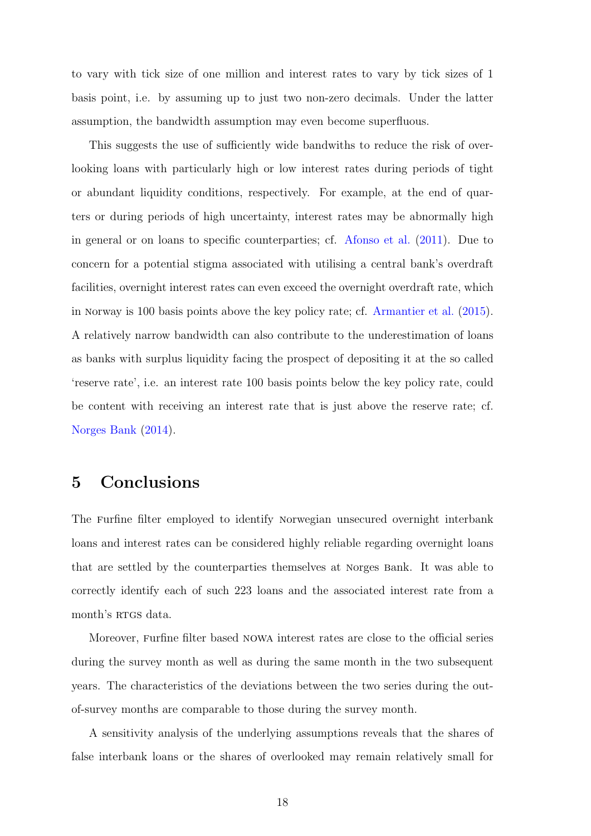to vary with tick size of one million and interest rates to vary by tick sizes of 1 basis point, i.e. by assuming up to just two non-zero decimals. Under the latter assumption, the bandwidth assumption may even become superfluous.

This suggests the use of sufficiently wide bandwiths to reduce the risk of overlooking loans with particularly high or low interest rates during periods of tight or abundant liquidity conditions, respectively. For example, at the end of quarters or during periods of high uncertainty, interest rates may be abnormally high in general or on loans to specific counterparties; cf. [Afonso et al.](#page-20-6) [\(2011\)](#page-20-6). Due to concern for a potential stigma associated with utilising a central bank's overdraft facilities, overnight interest rates can even exceed the overnight overdraft rate, which in norway is 100 basis points above the key policy rate; cf. [Armantier et al.](#page-21-11) [\(2015\)](#page-21-11). A relatively narrow bandwidth can also contribute to the underestimation of loans as banks with surplus liquidity facing the prospect of depositing it at the so called 'reserve rate', i.e. an interest rate 100 basis points below the key policy rate, could be content with receiving an interest rate that is just above the reserve rate; cf. [Norges Bank](#page-21-9) [\(2014\)](#page-21-9).

### <span id="page-19-0"></span>5 Conclusions

The furfine filter employed to identify norwegian unsecured overnight interbank loans and interest rates can be considered highly reliable regarding overnight loans that are settled by the counterparties themselves at norges bank. It was able to correctly identify each of such 223 loans and the associated interest rate from a month's RTGS data.

Moreover, furfine filter based nowa interest rates are close to the official series during the survey month as well as during the same month in the two subsequent years. The characteristics of the deviations between the two series during the outof-survey months are comparable to those during the survey month.

A sensitivity analysis of the underlying assumptions reveals that the shares of false interbank loans or the shares of overlooked may remain relatively small for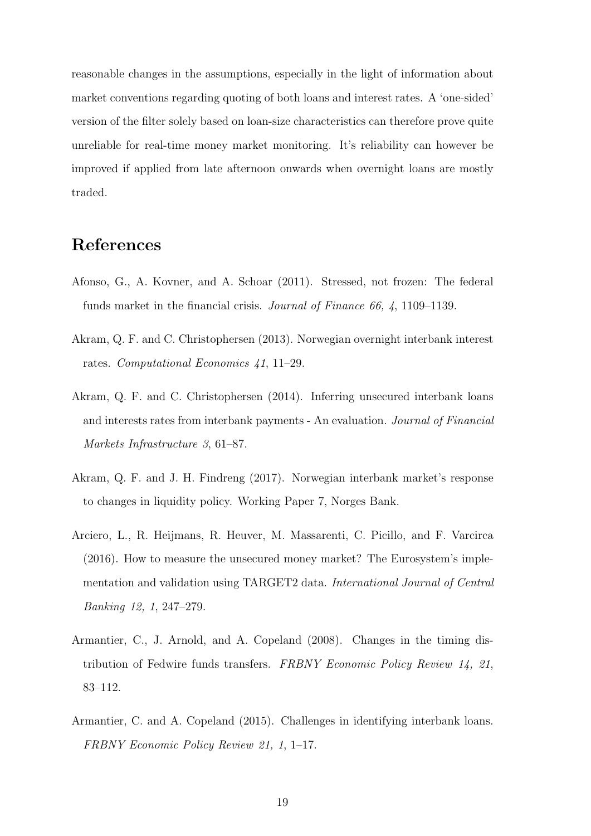reasonable changes in the assumptions, especially in the light of information about market conventions regarding quoting of both loans and interest rates. A 'one-sided' version of the filter solely based on loan-size characteristics can therefore prove quite unreliable for real-time money market monitoring. It's reliability can however be improved if applied from late afternoon onwards when overnight loans are mostly traded.

# References

- <span id="page-20-6"></span>Afonso, G., A. Kovner, and A. Schoar (2011). Stressed, not frozen: The federal funds market in the financial crisis. Journal of Finance 66, 4, 1109–1139.
- <span id="page-20-0"></span>Akram, Q. F. and C. Christophersen (2013). Norwegian overnight interbank interest rates. Computational Economics 41, 11–29.
- <span id="page-20-3"></span>Akram, Q. F. and C. Christophersen (2014). Inferring unsecured interbank loans and interests rates from interbank payments - An evaluation. Journal of Financial Markets Infrastructure 3, 61–87.
- <span id="page-20-4"></span>Akram, Q. F. and J. H. Findreng (2017). Norwegian interbank market's response to changes in liquidity policy. Working Paper 7, Norges Bank.
- <span id="page-20-2"></span>Arciero, L., R. Heijmans, R. Heuver, M. Massarenti, C. Picillo, and F. Varcirca (2016). How to measure the unsecured money market? The Eurosystem's implementation and validation using TARGET2 data. International Journal of Central Banking 12, 1, 247–279.
- <span id="page-20-5"></span>Armantier, C., J. Arnold, and A. Copeland (2008). Changes in the timing distribution of Fedwire funds transfers. FRBNY Economic Policy Review 14, 21, 83–112.
- <span id="page-20-1"></span>Armantier, C. and A. Copeland (2015). Challenges in identifying interbank loans. FRBNY Economic Policy Review 21, 1, 1–17.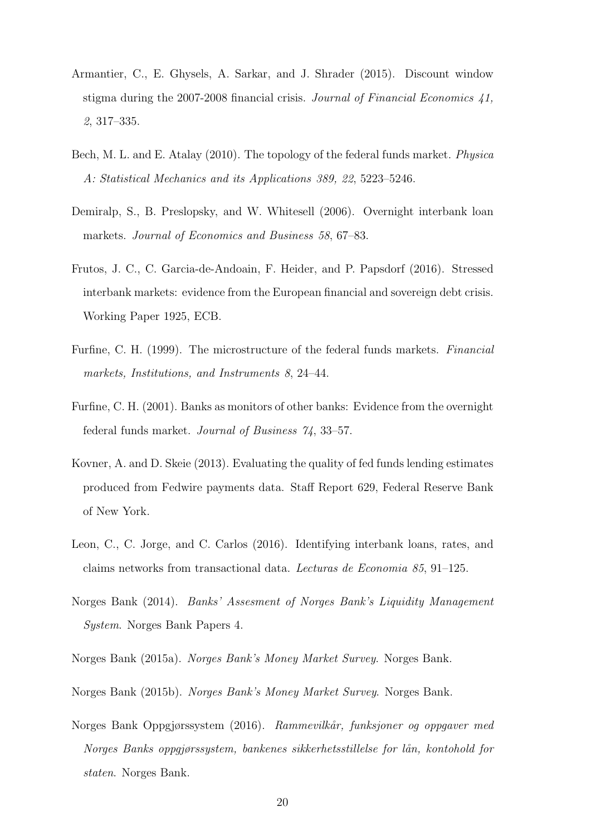- <span id="page-21-11"></span>Armantier, C., E. Ghysels, A. Sarkar, and J. Shrader (2015). Discount window stigma during the 2007-2008 financial crisis. Journal of Financial Economics 41, 2, 317–335.
- <span id="page-21-2"></span>Bech, M. L. and E. Atalay (2010). The topology of the federal funds market. Physica A: Statistical Mechanics and its Applications 389, 22, 5223–5246.
- <span id="page-21-8"></span>Demiralp, S., B. Preslopsky, and W. Whitesell (2006). Overnight interbank loan markets. Journal of Economics and Business 58, 67–83.
- <span id="page-21-4"></span>Frutos, J. C., C. Garcia-de-Andoain, F. Heider, and P. Papsdorf (2016). Stressed interbank markets: evidence from the European financial and sovereign debt crisis. Working Paper 1925, ECB.
- <span id="page-21-0"></span>Furfine, C. H. (1999). The microstructure of the federal funds markets. Financial markets, Institutions, and Instruments 8, 24–44.
- <span id="page-21-1"></span>Furfine, C. H. (2001). Banks as monitors of other banks: Evidence from the overnight federal funds market. Journal of Business 74, 33–57.
- <span id="page-21-3"></span>Kovner, A. and D. Skeie (2013). Evaluating the quality of fed funds lending estimates produced from Fedwire payments data. Staff Report 629, Federal Reserve Bank of New York.
- <span id="page-21-7"></span>Leon, C., C. Jorge, and C. Carlos (2016). Identifying interbank loans, rates, and claims networks from transactional data. Lecturas de Economia 85, 91–125.
- <span id="page-21-9"></span>Norges Bank (2014). Banks' Assesment of Norges Bank's Liquidity Management System. Norges Bank Papers 4.
- <span id="page-21-5"></span>Norges Bank (2015a). Norges Bank's Money Market Survey. Norges Bank.
- <span id="page-21-6"></span>Norges Bank (2015b). Norges Bank's Money Market Survey. Norges Bank.
- <span id="page-21-10"></span>Norges Bank Oppgjørssystem (2016). Rammevilkår, funksjoner og oppgaver med Norges Banks oppgjørssystem, bankenes sikkerhetsstillelse for lån, kontohold for staten. Norges Bank.